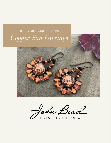

John Bead

ESTABLISHED 1954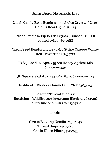John Bead Materials List

Czech Candy Rose Beads 12mm 2holes Crystal / Capri Gold Halfcoat 27801781-14

Czech Preciosa Pip Beads Crystal/Sunset Tr. Half coated 27800960-20S8

Czech Seed Bead/Pony Bead 6/0 Stripe Opaque White/ Red Travertine 65443219

JB Square Vial Apx. 24g 8/0 Honey Apricot Mix 63210001-0591

JB Square Vial Apx.24g 10/0 Black 63210001-0172

Fishhook - Slender Gunmetal LF/NF 23635113

Beading Thread such as: Beadalon - Wildfire .006in/0.15mm Black 50yd (45m) 6lb Fireline or similar 74423057-01

# Tools

Size 10 Beading Needles 74301043 Thread Snips 74509607 Chain Noise Pliers 74527344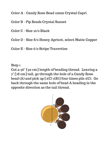Color A - Candy Rose Bead 12mm Crystal Capri

Color B - Pip Beads Crystal Sunset

Color C - Size 10/0 Black

Color D - Size 8/0 Honey Apricot, select Matte Copper

Color E - Size 6/0 Stripe Travertine

Step 1

Cut a 36" [92 cm] length of beading thread. Leaving a 7" [18 cm] tail, go through the hole of a Candy Rose bead (A) and pick up  $\left[1(C) 1(B)\right]$  four times plis 1(C). Go back through the same hole of bead A heading in the opposite direction as the tail thread.

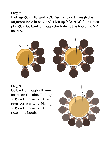Pick up 1(C), 1(B), and 1(C). Turn and go through the adjacent hole in bead (A). Pick up  $\left[1(C) 1(B)\right]$  four times plis 1(C). Go back through the hole at the bottom of of bead A.



### Step 3

Go back through all nine beads on the side. Pick up 1(B) and go through the next three beads. Pick up 1(B) and go through the next nine beads.

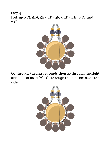Step 4 Pick up 2(C), 1(D), 1(E), 1(D), 4(C), 1(D), 1(E), 1(D), and  $2(C).$ 



Go through the next 13 beads then go through the right side hole of bead (A). Go through the nine beads on the side.

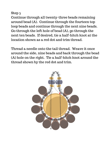Continue through all twenty-three beads remaining around bead (A). Continue through the fourteen top loop beads and continue through the next nine beads. Go through the left hole of bead (A), go through the next ten beads. If desired, tie a half-hitch knot at the location shown as a red dot and trim thread.

Thread a needle onto the tail thread. Weave it once around the side, nine beads and back through the bead (A) hole on the right. Tie a half-hitch knot around the thread shown by the red dot and trim.

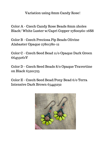Variation using 8mm Candy Rose!

Color A - Czech Candy Rose Beads 8mm 2holes Black/ White Luster w/Capri Copper 27800960-16S8

Color B - Czech Preciosa Pip Beads Olivine Alabaster Opaque 27801780-12

Color C - Czech Seed Bead 11/0 Opaque Dark Green 66435061V

Color D - Czech Seed Beads 8/0 Opaque Travertine on Black 65201723

Color E - Czech Seed Bead/Pony Bead 6/0 Terra Intensive Dark Brown 65443232

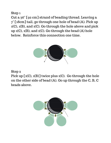Cut a 36" [92 cm] strand of beading thread. Leaving a 7" [18cm] tail, go through one hole of bead (A). Pick up 1(C), 1(B), and 1(C). Go through the hole above and pick up 1(C), 1(B), and 1(C). Go through the bead (A) hole below. Reinforce this connection one time.



### Step 2

Pick up  $[1(C), 1(B)]$  twice plus 1(C). Go through the hole on the other side of bead (A). Go up through the C, B, C beads above.